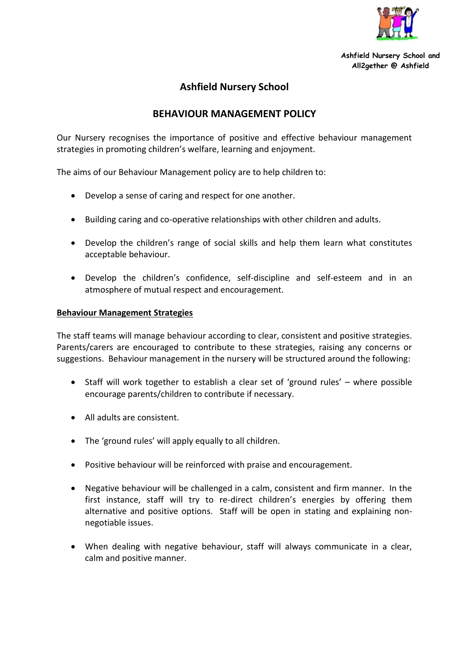

**Ashfield Nursery School and All2gether @ Ashfield**

## **Ashfield Nursery School**

## **BEHAVIOUR MANAGEMENT POLICY**

Our Nursery recognises the importance of positive and effective behaviour management strategies in promoting children's welfare, learning and enjoyment.

The aims of our Behaviour Management policy are to help children to:

- Develop a sense of caring and respect for one another.
- Building caring and co-operative relationships with other children and adults.
- Develop the children's range of social skills and help them learn what constitutes acceptable behaviour.
- Develop the children's confidence, self-discipline and self-esteem and in an atmosphere of mutual respect and encouragement.

## **Behaviour Management Strategies**

The staff teams will manage behaviour according to clear, consistent and positive strategies. Parents/carers are encouraged to contribute to these strategies, raising any concerns or suggestions. Behaviour management in the nursery will be structured around the following:

- Staff will work together to establish a clear set of 'ground rules' where possible encourage parents/children to contribute if necessary.
- All adults are consistent.
- The 'ground rules' will apply equally to all children.
- Positive behaviour will be reinforced with praise and encouragement.
- Negative behaviour will be challenged in a calm, consistent and firm manner. In the first instance, staff will try to re-direct children's energies by offering them alternative and positive options. Staff will be open in stating and explaining nonnegotiable issues.
- When dealing with negative behaviour, staff will always communicate in a clear, calm and positive manner.